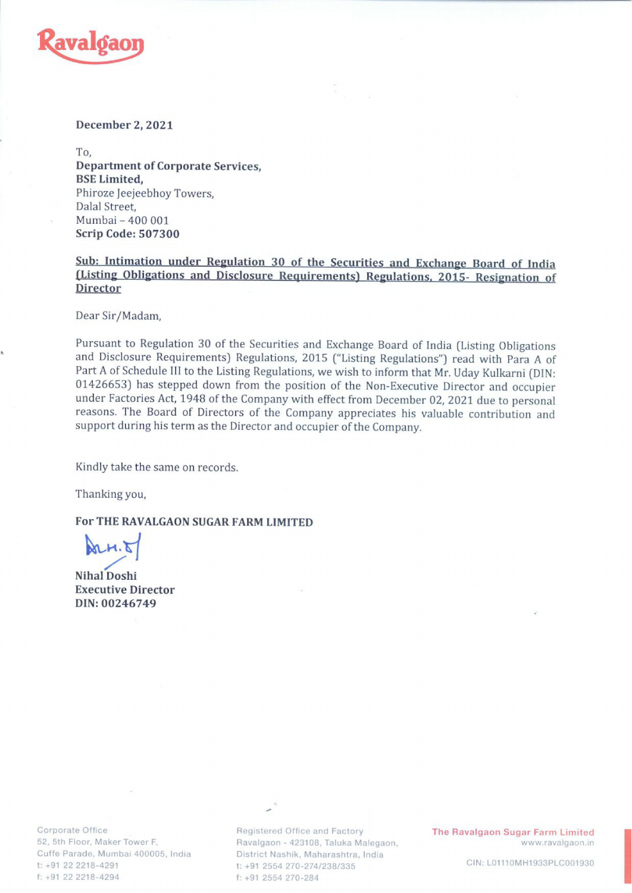

## December 2, 2021

To, Department of Corporate Services, BSE Limited, Phiroze Jeejeebhoy Towers. Dalal Street, Mumbai - 400 001 Scrip Code: 507300

Sub: Intimation under Regulation 30 of the Securities and Exchange Board of India (Listing Obligations and Disclosure Requirements) Regulations, 2015- Resignation of **Director** 

Dear Sir/Madam,

Pursuant to Regulation 30 of the Securities and Exchange Board of India (Listing Obligations and Disclosure Requirements) Regulations, 2015 ("Listing Regulations") read with Para A of Part A of Schedule III to the Listing 01426653) has stepped down from the position of the Non-Executive Director and occupier<br>under Factories Act, 1948 of the Company with effect from December 02, 2021 due to personal<br>reasons. The Board of Directors of the Com support during his term as the Director and occupier of the Company.

Kindly take the same on records.

Thanking you,

For THE RAVALGAON SUGAR FARM LIMITED

 $m.81$ 

Nihal Doshi Executive Director DIN: 00246749

reasons. The board of Directors of the Comp<br>support during his term as the Director and occurring his term as the Director and occurring<br>Kindly take the same on records.<br>Thanking you,<br>**For THE RAVALGAON SUGAR FARM LIMITED** 

Corporate Office Corporate Office Registered Office and Factory **The Ravalgaon Sugar Farm Limited**<br>E2, 5th Floor, Maker Tower F, Ravalgaon - 423108, Taluka Malegaon, Www.ravalgaon.in Ravalgaon - 423108, Taluka Malegaon, Www.ravalgaon.in Cuffe Parade, Mumbai 400005, India district Nashik, Maharashtra, India t: +91 22 2218-4291 t: +91 2554 270-274/238/335 conoe: t: +91 2554 270-284 cln: L01110MH1933PLC001930 f: +91 2554 270-284 cln: t: +91 2554 270-284 cln: f: +91 2554 270-284

=